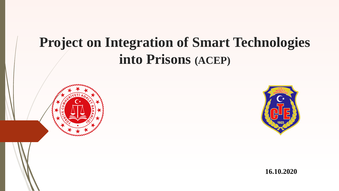## **Project on Integration of Smart Technologies into Prisons (ACEP)**





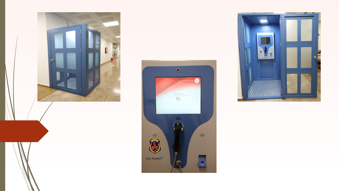



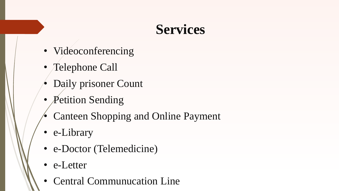## **Services**

- Videoconferencing
- Telephone Call
- Daily prisoner Count
- Petition Sending
- Canteen Shopping and Online Payment
- e-Library
- e-Doctor (Telemedicine)
- e-Letter
- Central Communucation Line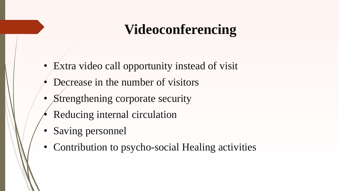# **Videoconferencing**

- Extra video call opportunity instead of visit
- Decrease in the number of visitors
- Strengthening corporate security
- Reducing internal circulation
- Saving personnel
- Contribution to psycho-social Healing activities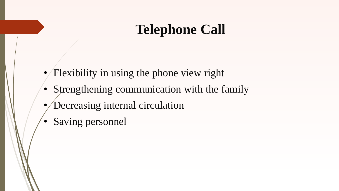## **Telephone Call**

- Flexibility in using the phone view right
- Strengthening communication with the family
- Decreasing internal circulation
- Saving personnel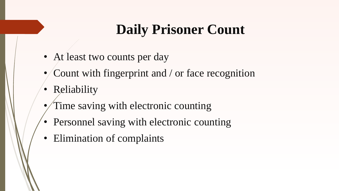# **Daily Prisoner Count**

- At least two counts per day
- Count with fingerprint and / or face recognition
- Reliability
- Time saving with electronic counting
- Personnel saving with electronic counting
- Elimination of complaints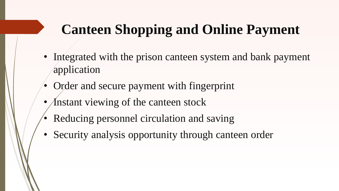## **Canteen Shopping and Online Payment**

- Integrated with the prison canteen system and bank payment application
- Order and secure payment with fingerprint
- Instant viewing of the canteen stock
- Reducing personnel circulation and saving
- Security analysis opportunity through canteen order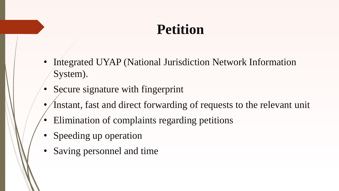# **Petition**

- Integrated UYAP (National Jurisdiction Network Information System).
- Secure signature with fingerprint
- Instant, fast and direct forwarding of requests to the relevant unit
- Elimination of complaints regarding petitions
- Speeding up operation
- Saving personnel and time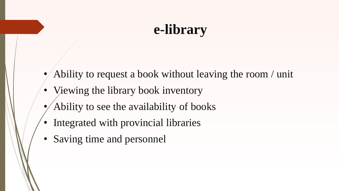# **e-library**

- Ability to request a book without leaving the room / unit
- Viewing the library book inventory
- Ability to see the availability of books
- Integrated with provincial libraries
- Saving time and personnel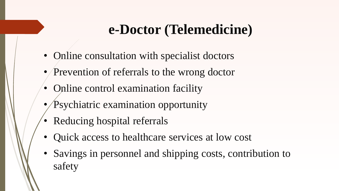# **e-Doctor (Telemedicine)**

- Online consultation with specialist doctors
- Prevention of referrals to the wrong doctor
- Online control examination facility
- Psychiatric examination opportunity
- Reducing hospital referrals
- Quick access to healthcare services at low cost
- Savings in personnel and shipping costs, contribution to safety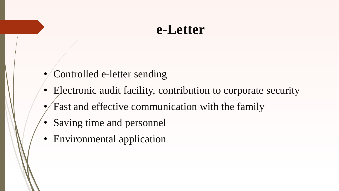## **e-Letter**

- Controlled e-letter sending
- Electronic audit facility, contribution to corporate security
- Fast and effective communication with the family
- Saving time and personnel
- Environmental application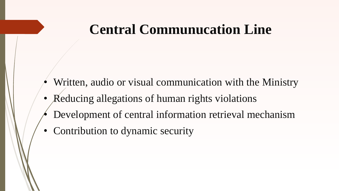### **Central Communucation Line**

- Written, audio or visual communication with the Ministry
- Reducing allegations of human rights violations
- Development of central information retrieval mechanism
- Contribution to dynamic security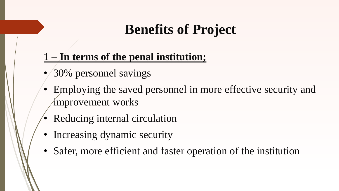# **Benefits of Project**

#### **1 – In terms of the penal institution;**

- •/30% personnel savings
- Employing the saved personnel in more effective security and improvement works
- Reducing internal circulation
- Increasing dynamic security
- Safer, more efficient and faster operation of the institution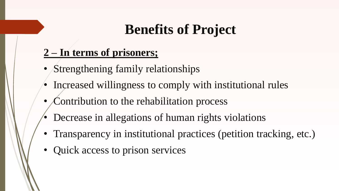# **Benefits of Project**

#### **2 – In terms of prisoners;**

- Strengthening family relationships
- Increased willingness to comply with institutional rules
- Contribution to the rehabilitation process
- Decrease in allegations of human rights violations
- Transparency in institutional practices (petition tracking, etc.)
- Quick access to prison services